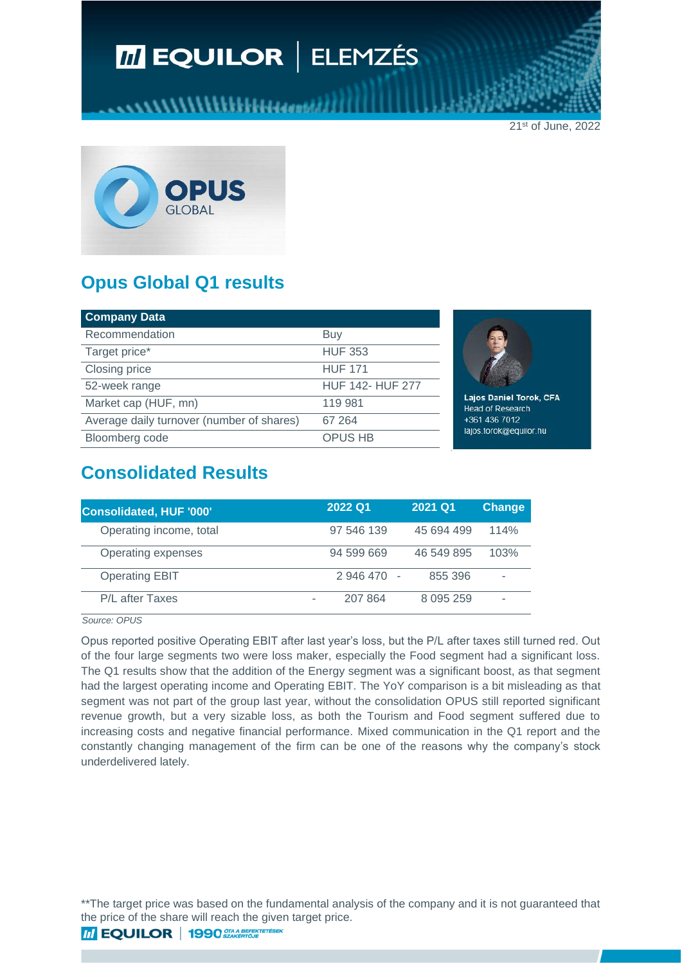# **M EQUILOR | ELEMZÉS**

21st of June, 2022



# **Opus Global Q1 results**

| <b>Company Data</b>                       |                         |
|-------------------------------------------|-------------------------|
| Recommendation                            | Buy                     |
| Target price*                             | <b>HUF 353</b>          |
| Closing price                             | <b>HUF 171</b>          |
| 52-week range                             | <b>HUF 142- HUF 277</b> |
| Market cap (HUF, mn)                      | 119 981                 |
| Average daily turnover (number of shares) | 67 264                  |
| Bloomberg code                            | <b>OPUS HB</b>          |



Lajos Daniel Torok, CFA **Head of Research** +361 436 7012 lajos.torok@equilor.hu

### **Consolidated Results**

| Consolidated, HUF '000' | 2022 Q1     | 2021 Q1       | <b>Change</b> |
|-------------------------|-------------|---------------|---------------|
| Operating income, total | 97 546 139  | 45 694 499    | 114%          |
| Operating expenses      | 94 599 669  | 46 549 895    | 103%          |
| <b>Operating EBIT</b>   | 2 946 470 - | 855 396       |               |
| P/L after Taxes         | 207 864     | 8 0 9 5 2 5 9 |               |

*Source: OPUS*

Opus reported positive Operating EBIT after last year's loss, but the P/L after taxes still turned red. Out of the four large segments two were loss maker, especially the Food segment had a significant loss. The Q1 results show that the addition of the Energy segment was a significant boost, as that segment had the largest operating income and Operating EBIT. The YoY comparison is a bit misleading as that segment was not part of the group last year, without the consolidation OPUS still reported significant revenue growth, but a very sizable loss, as both the Tourism and Food segment suffered due to increasing costs and negative financial performance. Mixed communication in the Q1 report and the constantly changing management of the firm can be one of the reasons why the company's stock underdelivered lately.

\*\* The target price was based on the fundamental analysis of the company and it is not guaranteed that the price of the share will reach the given target price.

**THEQUILOR** 1990 SZAR BEFEKTETÉSEK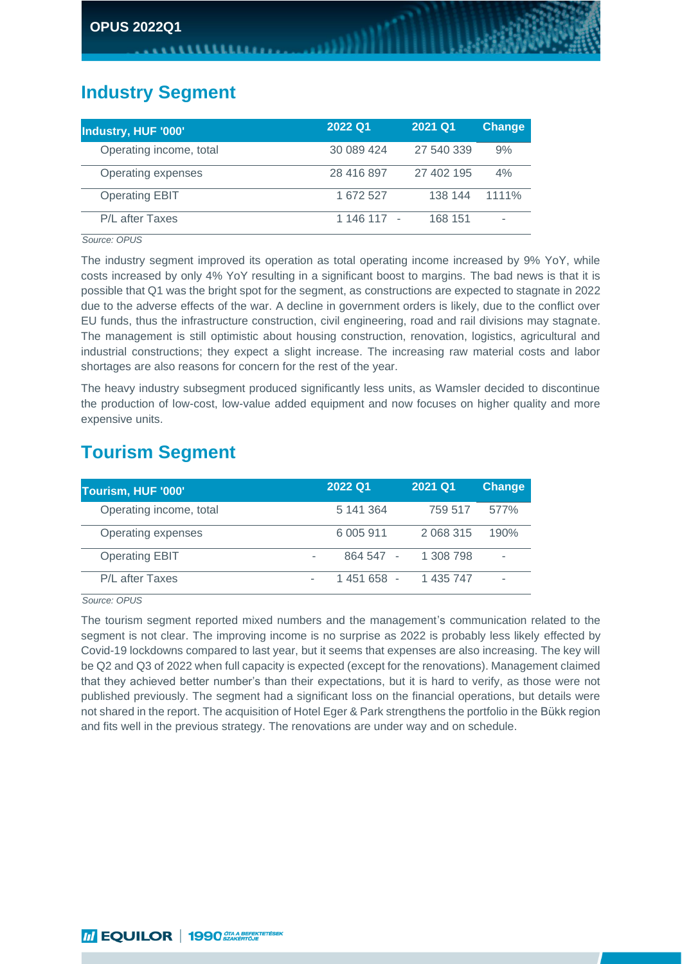#### **Industry Segment**

| Industry, HUF '000'     | 2022 Q1     | 2021 Q1    | <b>Change</b> |
|-------------------------|-------------|------------|---------------|
| Operating income, total | 30 089 424  | 27 540 339 | 9%            |
| Operating expenses      | 28 416 897  | 27 402 195 | 4%            |
| <b>Operating EBIT</b>   | 1 672 527   | 138 144    | $1111\%$      |
| P/L after Taxes         | 1 146 117 - | 168 151    |               |

*Source: OPUS*

The industry segment improved its operation as total operating income increased by 9% YoY, while costs increased by only 4% YoY resulting in a significant boost to margins. The bad news is that it is possible that Q1 was the bright spot for the segment, as constructions are expected to stagnate in 2022 due to the adverse effects of the war. A decline in government orders is likely, due to the conflict over EU funds, thus the infrastructure construction, civil engineering, road and rail divisions may stagnate. The management is still optimistic about housing construction, renovation, logistics, agricultural and industrial constructions; they expect a slight increase. The increasing raw material costs and labor shortages are also reasons for concern for the rest of the year.

The heavy industry subsegment produced significantly less units, as Wamsler decided to discontinue the production of low-cost, low-value added equipment and now focuses on higher quality and more expensive units.

### **Tourism Segment**

| Tourism, HUF '000'      | 2022 Q1       | 2021 Q1   | <b>Change</b> |
|-------------------------|---------------|-----------|---------------|
| Operating income, total | 5 141 364     | 759 517   | 577%          |
| Operating expenses      | 6 0 0 5 9 1 1 | 2 068 315 | 190%          |
| <b>Operating EBIT</b>   | 864 547 -     | 1 308 798 | ۰             |
| P/L after Taxes         | $1451658 -$   | 1 435 747 |               |

*Source: OPUS*

The tourism segment reported mixed numbers and the management's communication related to the segment is not clear. The improving income is no surprise as 2022 is probably less likely effected by Covid-19 lockdowns compared to last year, but it seems that expenses are also increasing. The key will be Q2 and Q3 of 2022 when full capacity is expected (except for the renovations). Management claimed that they achieved better number's than their expectations, but it is hard to verify, as those were not published previously. The segment had a significant loss on the financial operations, but details were not shared in the report. The acquisition of Hotel Eger & Park strengthens the portfolio in the Bükk region and fits well in the previous strategy. The renovations are under way and on schedule.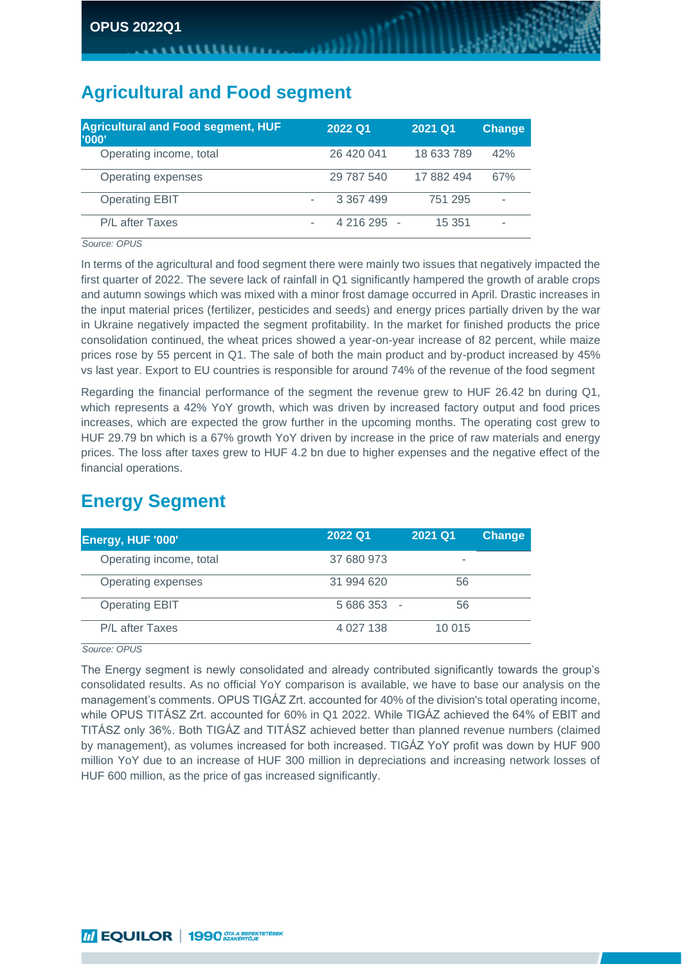# **Agricultural and Food segment**

| <b>Agricultural and Food segment, HUF</b><br><b>''000'</b> |   | 2022 Q1     | 2021 Q1    | <b>Change</b> |
|------------------------------------------------------------|---|-------------|------------|---------------|
| Operating income, total                                    |   | 26 420 041  | 18 633 789 | 42%           |
| Operating expenses                                         |   | 29 787 540  | 17 882 494 | 67%           |
| <b>Operating EBIT</b>                                      | ٠ | 3 367 499   | 751 295    | ۰             |
| P/L after Taxes                                            | ۰ | 4 216 295 - | 15 351     |               |

*Source: OPUS*

In terms of the agricultural and food segment there were mainly two issues that negatively impacted the first quarter of 2022. The severe lack of rainfall in Q1 significantly hampered the growth of arable crops and autumn sowings which was mixed with a minor frost damage occurred in April. Drastic increases in the input material prices (fertilizer, pesticides and seeds) and energy prices partially driven by the war in Ukraine negatively impacted the segment profitability. In the market for finished products the price consolidation continued, the wheat prices showed a year-on-year increase of 82 percent, while maize prices rose by 55 percent in Q1. The sale of both the main product and by-product increased by 45% vs last year. Export to EU countries is responsible for around 74% of the revenue of the food segment

Regarding the financial performance of the segment the revenue grew to HUF 26.42 bn during Q1, which represents a 42% YoY growth, which was driven by increased factory output and food prices increases, which are expected the grow further in the upcoming months. The operating cost grew to HUF 29.79 bn which is a 67% growth YoY driven by increase in the price of raw materials and energy prices. The loss after taxes grew to HUF 4.2 bn due to higher expenses and the negative effect of the financial operations.

## **Energy Segment**

| Energy, HUF '000'       | 2022 Q1     | 2021 Q1 | <b>Change</b> |
|-------------------------|-------------|---------|---------------|
| Operating income, total | 37 680 973  |         |               |
| Operating expenses      | 31 994 620  | 56      |               |
| <b>Operating EBIT</b>   | $5686353 -$ | 56      |               |
| P/L after Taxes         | 4 0 27 1 38 | 10 015  |               |

*Source: OPUS*

The Energy segment is newly consolidated and already contributed significantly towards the group's consolidated results. As no official YoY comparison is available, we have to base our analysis on the management's comments. OPUS TIGÁZ Zrt. accounted for 40% of the division's total operating income, while OPUS TITÁSZ Zrt. accounted for 60% in Q1 2022. While TIGÁZ achieved the 64% of EBIT and TITÁSZ only 36%. Both TIGÁZ and TITÁSZ achieved better than planned revenue numbers (claimed by management), as volumes increased for both increased. TIGÁZ YoY profit was down by HUF 900 million YoY due to an increase of HUF 300 million in depreciations and increasing network losses of HUF 600 million, as the price of gas increased significantly.